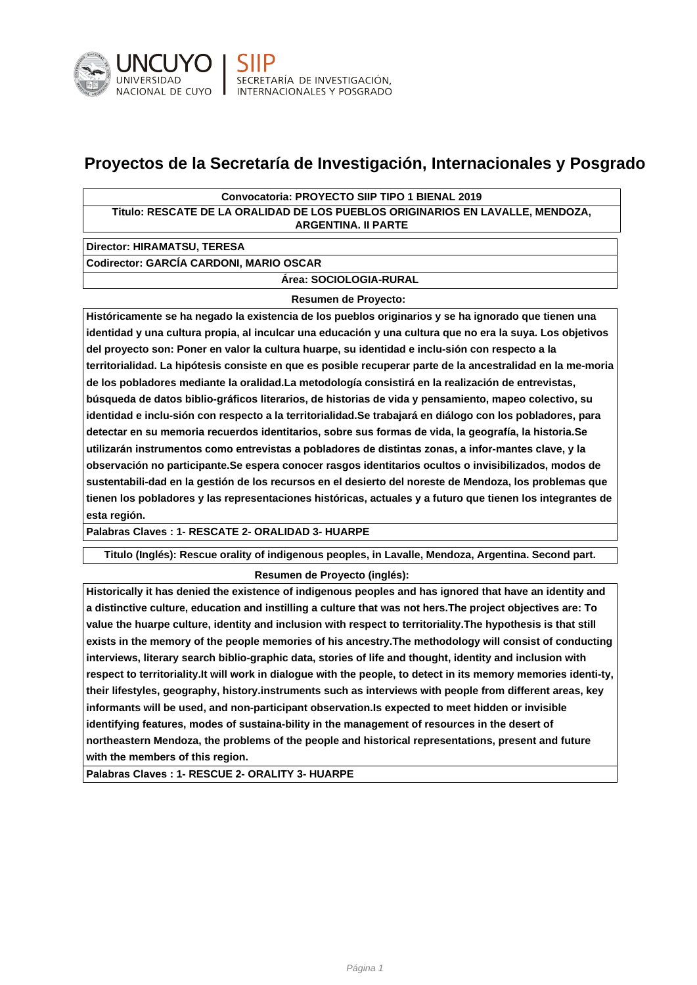

# **Proyectos de la Secretaría de Investigación, Internacionales y Posgrado**

## **Convocatoria: PROYECTO SIIP TIPO 1 BIENAL 2019**

**Titulo: RESCATE DE LA ORALIDAD DE LOS PUEBLOS ORIGINARIOS EN LAVALLE, MENDOZA, ARGENTINA. II PARTE**

**Director: HIRAMATSU, TERESA**

**Codirector: GARCÍA CARDONI, MARIO OSCAR**

**Área: SOCIOLOGIA-RURAL**

#### **Resumen de Proyecto:**

**Históricamente se ha negado la existencia de los pueblos originarios y se ha ignorado que tienen una identidad y una cultura propia, al inculcar una educación y una cultura que no era la suya. Los objetivos del proyecto son: Poner en valor la cultura huarpe, su identidad e inclu-sión con respecto a la territorialidad. La hipótesis consiste en que es posible recuperar parte de la ancestralidad en la me-moria de los pobladores mediante la oralidad.La metodología consistirá en la realización de entrevistas, búsqueda de datos biblio-gráficos literarios, de historias de vida y pensamiento, mapeo colectivo, su identidad e inclu-sión con respecto a la territorialidad.Se trabajará en diálogo con los pobladores, para detectar en su memoria recuerdos identitarios, sobre sus formas de vida, la geografía, la historia.Se utilizarán instrumentos como entrevistas a pobladores de distintas zonas, a infor-mantes clave, y la observación no participante.Se espera conocer rasgos identitarios ocultos o invisibilizados, modos de sustentabili-dad en la gestión de los recursos en el desierto del noreste de Mendoza, los problemas que tienen los pobladores y las representaciones históricas, actuales y a futuro que tienen los integrantes de esta región.**

**Palabras Claves : 1- RESCATE 2- ORALIDAD 3- HUARPE**

**Titulo (Inglés): Rescue orality of indigenous peoples, in Lavalle, Mendoza, Argentina. Second part.**

## **Resumen de Proyecto (inglés):**

**Historically it has denied the existence of indigenous peoples and has ignored that have an identity and a distinctive culture, education and instilling a culture that was not hers.The project objectives are: To value the huarpe culture, identity and inclusion with respect to territoriality.The hypothesis is that still exists in the memory of the people memories of his ancestry.The methodology will consist of conducting interviews, literary search biblio-graphic data, stories of life and thought, identity and inclusion with respect to territoriality.It will work in dialogue with the people, to detect in its memory memories identi-ty, their lifestyles, geography, history.instruments such as interviews with people from different areas, key informants will be used, and non-participant observation.Is expected to meet hidden or invisible identifying features, modes of sustaina-bility in the management of resources in the desert of northeastern Mendoza, the problems of the people and historical representations, present and future with the members of this region.**

**Palabras Claves : 1- RESCUE 2- ORALITY 3- HUARPE**